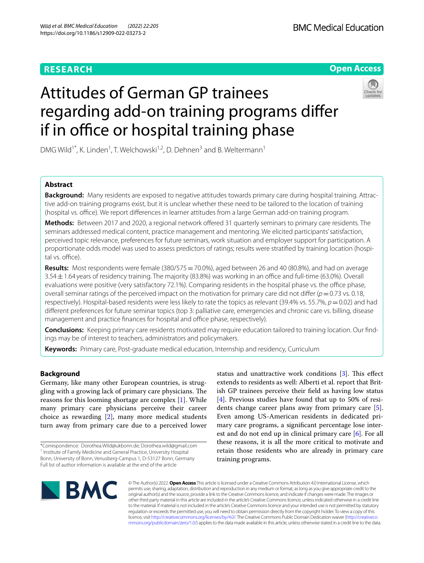# **RESEARCH**

# **Open Access**

# Attitudes of German GP trainees regarding add-on training programs difer if in office or hospital training phase



DMG Wild<sup>1\*</sup>, K. Linden<sup>1</sup>, T. Welchowski<sup>1,2</sup>, D. Dehnen<sup>3</sup> and B. Weltermann<sup>1</sup>

## **Abstract**

**Background:** Many residents are exposed to negative attitudes towards primary care during hospital training. Attractive add-on training programs exist, but it is unclear whether these need to be tailored to the location of training (hospital vs. office). We report differences in learner attitudes from a large German add-on training program.

**Methods:** Between 2017 and 2020, a regional network offered 31 quarterly seminars to primary care residents. The seminars addressed medical content, practice management and mentoring. We elicited participants' satisfaction, perceived topic relevance, preferences for future seminars, work situation and employer support for participation. A proportionate odds model was used to assess predictors of ratings; results were stratifed by training location (hospital vs. office).

**Results:** Most respondents were female (380/575 = 70.0%), aged between 26 and 40 (80.8%), and had on average  $3.54 \pm 1.64$  years of residency training. The majority (83.8%) was working in an office and full-time (63.0%). Overall evaluations were positive (very satisfactory 72.1%). Comparing residents in the hospital phase vs. the office phase, overall seminar ratings of the perceived impact on the motivation for primary care did not difer (*p*=0.73 vs. 0.18, respectively). Hospital-based residents were less likely to rate the topics as relevant (39.4% vs. 55.7%, *p* = 0.02) and had diferent preferences for future seminar topics (top 3: palliative care, emergencies and chronic care vs. billing, disease management and practice finances for hospital and office phase, respectively).

**Conclusions:** Keeping primary care residents motivated may require education tailored to training location. Our fndings may be of interest to teachers, administrators and policymakers.

**Keywords:** Primary care, Post-graduate medical education, Internship and residency, Curriculum

## **Background**

Germany, like many other European countries, is struggling with a growing lack of primary care physicians. The reasons for this looming shortage are complex [[1](#page-7-0)]. While many primary care physicians perceive their career choice as rewarding  $[2]$  $[2]$ , many more medical students turn away from primary care due to a perceived lower

status and unattractive work conditions  $[3]$  $[3]$ . This effect extends to residents as well: Alberti et al. report that British GP trainees perceive their feld as having low status [[4\]](#page-7-3). Previous studies have found that up to 50% of residents change career plans away from primary care [\[5](#page-7-4)]. Even among US-American residents in dedicated primary care programs, a signifcant percentage lose interest and do not end up in clinical primary care [\[6](#page-7-5)]. For all these reasons, it is all the more critical to motivate and retain those residents who are already in primary care training programs.



© The Author(s) 2022. **Open Access** This article is licensed under a Creative Commons Attribution 4.0 International License, which permits use, sharing, adaptation, distribution and reproduction in any medium or format, as long as you give appropriate credit to the original author(s) and the source, provide a link to the Creative Commons licence, and indicate if changes were made. The images or other third party material in this article are included in the article's Creative Commons licence, unless indicated otherwise in a credit line to the material. If material is not included in the article's Creative Commons licence and your intended use is not permitted by statutory regulation or exceeds the permitted use, you will need to obtain permission directly from the copyright holder. To view a copy of this licence, visit [http://creativecommons.org/licenses/by/4.0/.](http://creativecommons.org/licenses/by/4.0/) The Creative Commons Public Domain Dedication waiver ([http://creativeco](http://creativecommons.org/publicdomain/zero/1.0/) [mmons.org/publicdomain/zero/1.0/](http://creativecommons.org/publicdomain/zero/1.0/)) applies to the data made available in this article, unless otherwise stated in a credit line to the data.

<sup>\*</sup>Correspondence: Dorothea.Wild@ukbonn.de; Dorothea.wild@gmail.com <sup>1</sup> Institute of Family Medicine and General Practice, University Hospital Bonn, University of Bonn, Venusberg-Campus 1, D-53127 Bonn, Germany Full list of author information is available at the end of the article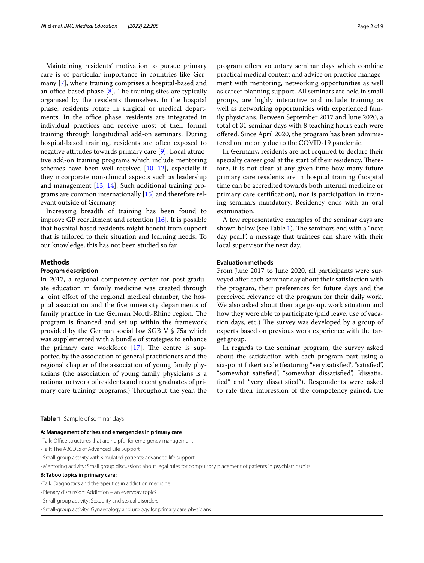Maintaining residents' motivation to pursue primary care is of particular importance in countries like Germany [\[7](#page-7-6)], where training comprises a hospital-based and an office-based phase  $[8]$  $[8]$ . The training sites are typically organised by the residents themselves. In the hospital phase, residents rotate in surgical or medical departments. In the office phase, residents are integrated in individual practices and receive most of their formal training through longitudinal add-on seminars. During hospital-based training, residents are often exposed to negative attitudes towards primary care [[9\]](#page-7-8). Local attractive add-on training programs which include mentoring schemes have been well received [[10](#page-7-9)[–12](#page-7-10)], especially if they incorporate non-clinical aspects such as leadership and management [[13,](#page-7-11) [14](#page-7-12)]. Such additional training programs are common internationally [[15](#page-7-13)] and therefore relevant outside of Germany.

Increasing breadth of training has been found to improve GP recruitment and retention  $[16]$  $[16]$ . It is possible that hospital-based residents might beneft from support that is tailored to their situation and learning needs. To our knowledge, this has not been studied so far.

## **Methods**

## **Program description**

In 2017, a regional competency center for post-graduate education in family medicine was created through a joint efort of the regional medical chamber, the hospital association and the fve university departments of family practice in the German North-Rhine region. The program is fnanced and set up within the framework provided by the German social law SGB V § 75a which was supplemented with a bundle of strategies to enhance the primary care workforce  $[17]$ . The centre is supported by the association of general practitioners and the regional chapter of the association of young family physicians (the association of young family physicians is a national network of residents and recent graduates of primary care training programs.) Throughout the year, the program offers voluntary seminar days which combine practical medical content and advice on practice management with mentoring, networking opportunities as well as career planning support. All seminars are held in small groups, are highly interactive and include training as well as networking opportunities with experienced family physicians. Between September 2017 and June 2020, a total of 31 seminar days with 8 teaching hours each were ofered. Since April 2020, the program has been administered online only due to the COVID-19 pandemic.

In Germany, residents are not required to declare their specialty career goal at the start of their residency. Therefore, it is not clear at any given time how many future primary care residents are in hospital training (hospital time can be accredited towards both internal medicine or primary care certifcation), nor is participation in training seminars mandatory. Residency ends with an oral examination.

A few representative examples of the seminar days are shown below (see Table [1](#page-1-0)). The seminars end with a "next" day pearl", a message that trainees can share with their local supervisor the next day.

## **Evaluation methods**

From June 2017 to June 2020, all participants were surveyed after each seminar day about their satisfaction with the program, their preferences for future days and the perceived relevance of the program for their daily work. We also asked about their age group, work situation and how they were able to participate (paid leave, use of vacation days, etc.) The survey was developed by a group of experts based on previous work experience with the target group.

In regards to the seminar program, the survey asked about the satisfaction with each program part using a six-point Likert scale (featuring "very satisfed", "satisfed", "somewhat satisfed", "somewhat dissatisfed", "dissatisfed" and "very dissatisfed"). Respondents were asked to rate their impression of the competency gained, the

<span id="page-1-0"></span>**Table 1** Sample of seminar days

#### **A: Management of crises and emergencies in primary care**

- Talk: Office structures that are helpful for emergency management
- Talk: The ABCDEs of Advanced Life Support
- Small-group activity with simulated patients: advanced life support
- Mentoring activity: Small group discussions about legal rules for compulsory placement of patients in psychiatric units

#### **B: Taboo topics in primary care:**

- Talk: Diagnostics and therapeutics in addiction medicine
- Plenary discussion: Addiction an everyday topic?
- Small-group activity: Sexuality and sexual disorders
- Small-group activity: Gynaecology and urology for primary care physicians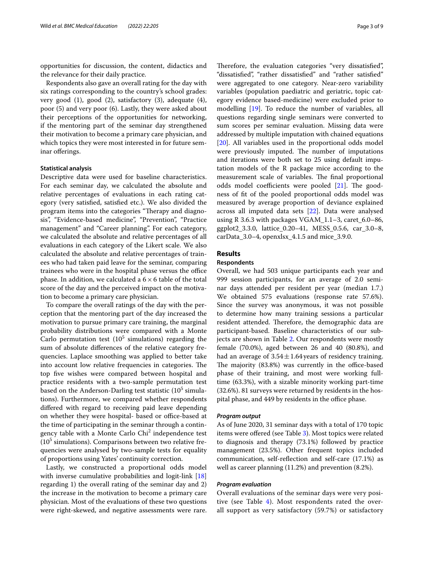opportunities for discussion, the content, didactics and the relevance for their daily practice.

Respondents also gave an overall rating for the day with six ratings corresponding to the country's school grades: very good (1), good (2), satisfactory (3), adequate (4), poor (5) and very poor (6). Lastly, they were asked about their perceptions of the opportunities for networking, if the mentoring part of the seminar day strengthened their motivation to become a primary care physician, and which topics they were most interested in for future seminar oferings.

## **Statistical analysis**

Descriptive data were used for baseline characteristics. For each seminar day, we calculated the absolute and relative percentages of evaluations in each rating category (very satisfed, satisfed etc.). We also divided the program items into the categories "Therapy and diagnosis", "Evidence-based medicine", "Prevention", "Practice management" and "Career planning". For each category, we calculated the absolute and relative percentages of all evaluations in each category of the Likert scale. We also calculated the absolute and relative percentages of trainees who had taken paid leave for the seminar, comparing trainees who were in the hospital phase versus the office phase. In addition, we calculated a  $6 \times 6$  table of the total score of the day and the perceived impact on the motivation to become a primary care physician.

To compare the overall ratings of the day with the perception that the mentoring part of the day increased the motivation to pursue primary care training, the marginal probability distributions were compared with a Monte Carlo permutation test  $(10^5 \text{ simulations})$  regarding the sum of absolute diferences of the relative category frequencies. Laplace smoothing was applied to better take into account low relative frequencies in categories. The top fve wishes were compared between hospital and practice residents with a two-sample permutation test based on the Anderson-Darling test statistic ( $10^5\,\mathrm{simula}$ tions). Furthermore, we compared whether respondents difered with regard to receiving paid leave depending on whether they were hospital- based or office-based at the time of participating in the seminar through a contingency table with a Monte Carlo Chi<sup>2</sup> independence test  $(10<sup>5</sup>$  simulations). Comparisons between two relative frequencies were analysed by two-sample tests for equality of proportions using Yates' continuity correction.

Lastly, we constructed a proportional odds model with inverse cumulative probabilities and logit-link [[18](#page-7-16)] regarding 1) the overall rating of the seminar day and 2) the increase in the motivation to become a primary care physician. Most of the evaluations of these two questions were right-skewed, and negative assessments were rare.

Therefore, the evaluation categories "very dissatisfied", "dissatisfed", "rather dissatisfed" and "rather satisfed" were aggregated to one category. Near-zero variability variables (population paediatric and geriatric, topic category evidence based-medicine) were excluded prior to modelling [\[19](#page-7-17)]. To reduce the number of variables, all questions regarding single seminars were converted to sum scores per seminar evaluation. Missing data were addressed by multiple imputation with chained equations [[20\]](#page-7-18). All variables used in the proportional odds model were previously imputed. The number of imputations and iterations were both set to 25 using default imputation models of the R package mice according to the measurement scale of variables. The final proportional odds model coefficients were pooled  $[21]$  $[21]$ . The goodness of ft of the pooled proportional odds model was measured by average proportion of deviance explained across all imputed data sets [[22](#page-7-20)]. Data were analysed using R 3.6.3 with packages VGAM\_1.1–3, caret\_6.0–86, ggplot2\_3.3.0, lattice\_0.20–41, MESS\_0.5.6, car\_3.0–8, carData\_3.0–4, openxlsx\_4.1.5 and mice\_3.9.0.

## **Results**

## **Respondents**

Overall, we had 503 unique participants each year and 999 session participants, for an average of 2.0 seminar days attended per resident per year (median 1.7.) We obtained 575 evaluations (response rate 57.6%). Since the survey was anonymous, it was not possible to determine how many training sessions a particular resident attended. Therefore, the demographic data are participant-based. Baseline characteristics of our subjects are shown in Table [2](#page-3-0). Our respondents were mostly female (70.0%), aged between 26 and 40 (80.8%), and had an average of  $3.54 \pm 1.64$  years of residency training. The majority (83.8%) was currently in the office-based phase of their training, and most were working fulltime (63.3%), with a sizable minority working part-time (32.6%). 81 surveys were returned by residents in the hospital phase, and 449 by residents in the office phase.

#### *Program output*

As of June 2020, 31 seminar days with a total of 170 topic items were ofered (see Table [3](#page-3-1)). Most topics were related to diagnosis and therapy (73.1%) followed by practice management (23.5%). Other frequent topics included communication, self-refection and self-care (17.1%) as well as career planning (11.2%) and prevention (8.2%).

## *Program evaluation*

Overall evaluations of the seminar days were very positive (see Table  $4$ ). Most respondents rated the overall support as very satisfactory (59.7%) or satisfactory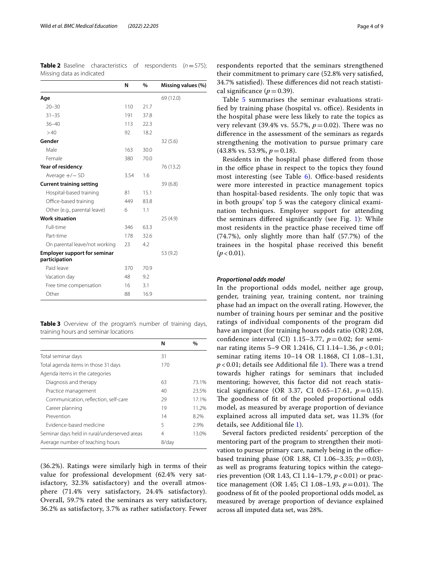<span id="page-3-0"></span>**Table 2** Baseline characteristics of respondents (*n*=575); Missing data as indicated

|                                                      | N    | %    | Missing values (%) |
|------------------------------------------------------|------|------|--------------------|
| Age                                                  |      |      | 69 (12.0)          |
| $20 - 30$                                            | 110  | 21.7 |                    |
| $31 - 35$                                            | 191  | 37.8 |                    |
| $36 - 40$                                            | 113  | 22.3 |                    |
| >40                                                  | 92   | 18.2 |                    |
| Gender                                               |      |      | 32(5.6)            |
| Male                                                 | 163  | 30.0 |                    |
| Female                                               | 380  | 70.0 |                    |
| Year of residency:                                   |      |      | 76 (13.2)          |
| Average $+/-$ SD                                     | 3.54 | 1.6  |                    |
| <b>Current training setting</b>                      |      |      | 39(6.8)            |
| Hospital-based training                              | 81   | 15.1 |                    |
| Office-based training                                | 449  | 83.8 |                    |
| Other (e.g., parental leave)                         | 6    | 1.1  |                    |
| <b>Work situation</b>                                |      |      | 25(4.9)            |
| Full-time                                            | 346  | 63.3 |                    |
| Part-time                                            | 178  | 32.6 |                    |
| On parental leave/not working                        | 23   | 4.2  |                    |
| <b>Employer support for seminar</b><br>participation |      |      | 53 (9.2)           |
| Paid leave                                           | 370  | 70.9 |                    |
| Vacation day                                         | 48   | 9.2  |                    |
| Free time compensation                               | 16   | 3.1  |                    |
| Other                                                | 88   | 16.9 |                    |

<span id="page-3-1"></span>**Table 3** Overview of the program's number of training days, training hours and seminar locations

|                                              | N     | $\%$  |
|----------------------------------------------|-------|-------|
| Total seminar days                           | 31    |       |
| Total agenda items in those 31 days          | 170   |       |
| Agenda items in the categories               |       |       |
| Diagnosis and therapy                        | 63    | 73.1% |
| Practice management                          | 40    | 23.5% |
| Communication, reflection, self-care         | 29    | 17.1% |
| Career planning                              | 19    | 11.2% |
| Prevention                                   | 14    | 8.2%  |
| Evidence-based medicine                      | 5     | 2.9%  |
| Seminar days held in rural/underserved areas | 4     | 13.0% |
| Average number of teaching hours             | 8/day |       |

(36.2%). Ratings were similarly high in terms of their value for professional development (62.4% very satisfactory, 32.3% satisfactory) and the overall atmosphere (71.4% very satisfactory, 24.4% satisfactory). Overall, 59.7% rated the seminars as very satisfactory, 36.2% as satisfactory, 3.7% as rather satisfactory. Fewer

respondents reported that the seminars strengthened their commitment to primary care (52.8% very satisfed, 34.7% satisfied). These differences did not reach statistical significance  $(p=0.39)$ .

Table [5](#page-5-0) summarises the seminar evaluations stratified by training phase (hospital vs. office). Residents in the hospital phase were less likely to rate the topics as very relevant (39.4% vs. 55.7%,  $p = 0.02$ ). There was no diference in the assessment of the seminars as regards strengthening the motivation to pursue primary care  $(43.8\% \text{ vs. } 53.9\%, p=0.18).$ 

Residents in the hospital phase difered from those in the office phase in respect to the topics they found most interesting (see Table  $6$ ). Office-based residents were more interested in practice management topics than hospital-based residents. The only topic that was in both groups' top 5 was the category clinical examination techniques. Employer support for attending the seminars difered signifcantly (see Fig. [1\)](#page-6-1): While most residents in the practice phase received time of (74.7%), only slightly more than half (57.7%) of the trainees in the hospital phase received this beneft  $(p < 0.01)$ .

#### *Proportional odds model*

In the proportional odds model, neither age group, gender, training year, training content, nor training phase had an impact on the overall rating. However, the number of training hours per seminar and the positive ratings of individual components of the program did have an impact (for training hours odds ratio (OR) 2.08, confidence interval (CI) 1.15–3.77,  $p=0.02$ ; for seminar rating items 5–9 OR 1.2416, CI 1.14–1.36, *p* < 0.01; seminar rating items 10–14 OR 1.1868, CI 1.08–1.31,  $p$  < 0.0[1](#page-6-2); details see Additional file 1). There was a trend towards higher ratings for seminars that included mentoring; however, this factor did not reach statistical significance (OR 3.37, CI 0.65-17.61,  $p = 0.15$ ). The goodness of fit of the pooled proportional odds model, as measured by average proportion of deviance explained across all imputed data set, was 11.3% (for details, see Additional fle [1\)](#page-6-2).

Several factors predicted residents' perception of the mentoring part of the program to strengthen their motivation to pursue primary care, namely being in the officebased training phase (OR 1.88, CI 1.06–3.35; *p*=0.03), as well as programs featuring topics within the categories prevention (OR 1.43, CI 1.14–1.79,  $p < 0.01$ ) or practice management (OR 1.45; CI 1.08–1.93,  $p = 0.01$ ). The goodness of ft of the pooled proportional odds model, as measured by average proportion of deviance explained across all imputed data set, was 28%.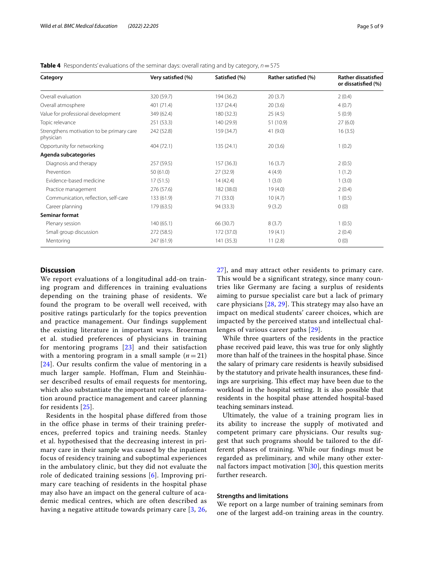| Category                                               | Very satisfied (%) | Satisfied (%) | Rather satisfied (%) | <b>Rather dissatisfied</b><br>or dissatisfied (%) |
|--------------------------------------------------------|--------------------|---------------|----------------------|---------------------------------------------------|
| Overall evaluation                                     | 320 (59.7)         | 194 (36.2)    | 20(3.7)              | 2(0.4)                                            |
| Overall atmosphere                                     | 401 (71.4)         | 137 (24.4)    | 20(3.6)              | 4(0.7)                                            |
| Value for professional development                     | 349 (62.4)         | 180 (32.3)    | 25(4.5)              | 5(0.9)                                            |
| Topic relevance                                        | 251(53.3)          | 140 (29.9)    | 51 (10.9)            | 27(6.0)                                           |
| Strengthens motivation to be primary care<br>physician | 242 (52.8)         | 159 (34.7)    | 41(9.0)              | 16(3.5)                                           |
| Opportunity for networking                             | 404(72.1)          | 135(24.1)     | 20(3.6)              | 1(0.2)                                            |
| Agenda subcategories                                   |                    |               |                      |                                                   |
| Diagnosis and therapy                                  | 257 (59.5)         | 157(36.3)     | 16(3.7)              | 2(0.5)                                            |
| Prevention                                             | 50(61.0)           | 27 (32.9)     | 4(4.9)               | 1(1.2)                                            |
| Evidence-based medicine                                | 17(51.5)           | 14(42.4)      | 1(3.0)               | 1(3.0)                                            |
| Practice management                                    | 276 (57.6)         | 182 (38.0)    | 19(4.0)              | 2(0.4)                                            |
| Communication, reflection, self-care                   | 133 (61.9)         | 71 (33.0)     | 10(4.7)              | 1(0.5)                                            |
| Career planning                                        | 179 (63.5)         | 94 (33.3)     | 9(3.2)               | 0(0)                                              |
| Seminar format                                         |                    |               |                      |                                                   |
| Plenary session                                        | 140(65.1)          | 66 (30.7)     | 8(3.7)               | 1(0.5)                                            |
| Small group discussion                                 | 272 (58.5)         | 172 (37.0)    | 19(4.1)              | 2(0.4)                                            |
| Mentoring                                              | 247 (61.9)         | 141 (35.3)    | 11(2.8)              | 0(0)                                              |

<span id="page-4-0"></span>**Table 4** Respondents' evaluations of the seminar days: overall rating and by category, *n*=575

## **Discussion**

We report evaluations of a longitudinal add-on training program and differences in training evaluations depending on the training phase of residents. We found the program to be overall well received, with positive ratings particularly for the topics prevention and practice management. Our findings supplement the existing literature in important ways. Broerman et al. studied preferences of physicians in training for mentoring programs [[23](#page-7-21)] and their satisfaction with a mentoring program in a small sample  $(n=21)$ [[24](#page-7-22)]. Our results confirm the value of mentoring in a much larger sample. Hoffman, Flum and Steinhäuser described results of email requests for mentoring, which also substantiate the important role of information around practice management and career planning for residents [[25](#page-7-23)].

Residents in the hospital phase differed from those in the office phase in terms of their training preferences, preferred topics and training needs. Stanley et al. hypothesised that the decreasing interest in primary care in their sample was caused by the inpatient focus of residency training and suboptimal experiences in the ambulatory clinic, but they did not evaluate the role of dedicated training sessions [[6](#page-7-5)]. Improving primary care teaching of residents in the hospital phase may also have an impact on the general culture of academic medical centres, which are often described as having a negative attitude towards primary care [[3,](#page-7-2) [26](#page-7-24), [27\]](#page-7-25), and may attract other residents to primary care. This would be a significant strategy, since many countries like Germany are facing a surplus of residents aiming to pursue specialist care but a lack of primary care physicians [\[28,](#page-7-26) [29\]](#page-8-0). This strategy may also have an impact on medical students' career choices, which are impacted by the perceived status and intellectual challenges of various career paths [[29\]](#page-8-0).

While three quarters of the residents in the practice phase received paid leave, this was true for only slightly more than half of the trainees in the hospital phase. Since the salary of primary care residents is heavily subsidised by the statutory and private health insurances, these fndings are surprising. This effect may have been due to the workload in the hospital setting. It is also possible that residents in the hospital phase attended hospital-based teaching seminars instead.

Ultimately, the value of a training program lies in its ability to increase the supply of motivated and competent primary care physicians. Our results suggest that such programs should be tailored to the different phases of training. While our fndings must be regarded as preliminary, and while many other external factors impact motivation  $[30]$  $[30]$ , this question merits further research.

## **Strengths and limitations**

We report on a large number of training seminars from one of the largest add-on training areas in the country.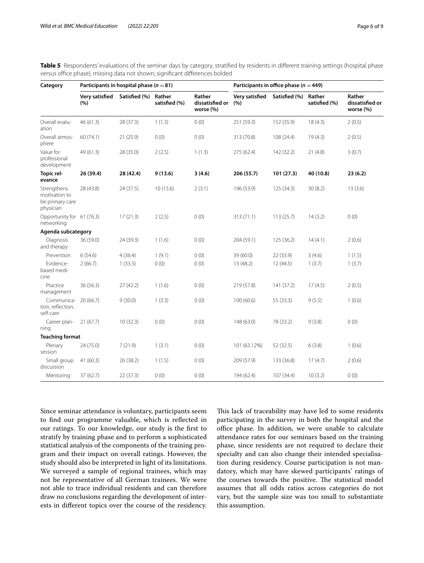| Category                                                     | Participants in hospital phase ( $n = 81$ ) |               |                         |                                        | Participants in office phase ( $n = 449$ ) |               |                         |                                        |
|--------------------------------------------------------------|---------------------------------------------|---------------|-------------------------|----------------------------------------|--------------------------------------------|---------------|-------------------------|----------------------------------------|
|                                                              | Very satisfied<br>(%)                       | Satisfied (%) | Rather<br>satisfied (%) | Rather<br>dissatisfied or<br>worse (%) | Very satisfied<br>(%)                      | Satisfied (%) | Rather<br>satisfied (%) | Rather<br>dissatisfied or<br>worse (%) |
| Overall evalu-<br>ation                                      | 46 (61.3)                                   | 28 (37.3)     | 1(1.3)                  | 0(0)                                   | 251 (59.3)                                 | 152 (35.9)    | 18(4.3)                 | 2(0.5)                                 |
| Overall atmos-<br>phere                                      | 60 (74.1)                                   | 21(25.9)      | 0(0)                    | 0(0)                                   | 313 (70.8)                                 | 108 (24.4)    | 19(4.3)                 | 2(0.5)                                 |
| Value for<br>professional<br>development                     | 49 (61.3)                                   | 28 (35.0)     | 2(2.5)                  | 1(1.3)                                 | 275 (62.4)                                 | 142 (32.2)    | 21(4.8)                 | 3(0.7)                                 |
| Topic rel-<br>evance                                         | 26 (39.4)                                   | 28 (42.4)     | 9(13.6)                 | 3(4.6)                                 | 206 (55.7)                                 | 101(27.3)     | 40 (10.8)               | 23(6.2)                                |
| Strengthens<br>motivation to<br>be primary care<br>physician | 28 (43.8)                                   | 24(37.5)      | 10(15.6)                | 2(3.1)                                 | 196 (53.9)                                 | 125(34.3)     | 30(8.2)                 | 13(3.6)                                |
| Opportunity for 61 (76.3)<br>networking                      |                                             | 17(21.3)      | 2(2.5)                  | 0(0)                                   | 313 (71.1)                                 | 113(25.7)     | 14(3.2)                 | 0(0)                                   |
| Agenda subcategory                                           |                                             |               |                         |                                        |                                            |               |                         |                                        |
| Diagnosis<br>and therapy                                     | 36 (59.0)                                   | 24 (39.3)     | 1(1.6)                  | 0(0)                                   | 204 (59.1)                                 | 125 (36.2)    | 14(4.1)                 | 2(0.6)                                 |
| Prevention                                                   | 6(54.6)                                     | 4(36.4)       | 1(9.1)                  | 0(0)                                   | 39 (60.0)                                  | 22 (33.9)     | 3(4.6)                  | 1(1.5)                                 |
| Evidence-<br>based medi-<br>cine                             | 2(66.7)                                     | 1(33.3)       | 0(0)                    | 0(0)                                   | 13 (48.2)                                  | 12(44.5)      | 1(3.7)                  | 1(3.7)                                 |
| Practice<br>management                                       | 36 (56.3)                                   | 27(42.2)      | 1(1.6)                  | 0(0)                                   | 219 (57.8)                                 | 141 (37.2)    | 17(4.5)                 | 2(0.5)                                 |
| Communica-<br>tion, reflection,<br>self-care                 | 20(66.7)                                    | 9(30.0)       | 1(3.3)                  | 0(0)                                   | 100 (60.6)                                 | 55 (33.3)     | 9(5.5)                  | 1(0.6)                                 |
| Career plan-<br>ning                                         | 21(67.7)                                    | 10(32.3)      | 0(0)                    | 0(0)                                   | 148 (63.0)                                 | 78 (33.2)     | 9(3.8)                  | 0(0)                                   |
| <b>Teaching format</b>                                       |                                             |               |                         |                                        |                                            |               |                         |                                        |
| Plenary<br>session                                           | 24 (75.0)                                   | 7(21.9)       | 1(3.1)                  | 0(0)                                   | 101 (63.12%)                               | 52 (32.5)     | 6(3.8)                  | 1(0.6)                                 |
| Small group<br>discussion                                    | 41(60.3)                                    | 26 (38.2)     | 1(1.5)                  | 0(0)                                   | 209 (57.9)                                 | 133 (36.8)    | 17(4.7)                 | 2(0.6)                                 |
| Mentoring                                                    | 37(62.7)                                    | 22(37.3)      | 0(0)                    | 0(0)                                   | 194 (62.4)                                 | 107 (34.4)    | 10(3.2)                 | 0(0)                                   |

<span id="page-5-0"></span>Table 5 Respondents' evaluations of the seminar days by category, stratified by residents in different training settings (hospital phase versus office phase), missing data not shown; significant differences bolded

Since seminar attendance is voluntary, participants seem to fnd our programme valuable, which is refected in our ratings. To our knowledge, our study is the frst to stratify by training phase and to perform a sophisticated statistical analysis of the components of the training program and their impact on overall ratings. However, the study should also be interpreted in light of its limitations. We surveyed a sample of regional trainees, which may not be representative of all German trainees. We were not able to trace individual residents and can therefore draw no conclusions regarding the development of interests in diferent topics over the course of the residency. This lack of traceability may have led to some residents participating in the survey in both the hospital and the office phase. In addition, we were unable to calculate attendance rates for our seminars based on the training phase, since residents are not required to declare their specialty and can also change their intended specialisation during residency. Course participation is not mandatory, which may have skewed participants' ratings of the courses towards the positive. The statistical model assumes that all odds ratios across categories do not vary, but the sample size was too small to substantiate this assumption.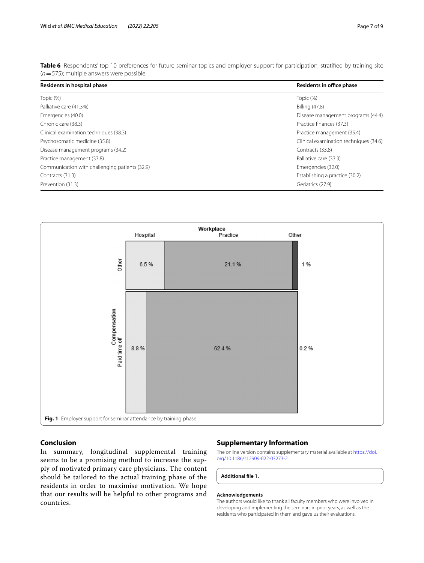| Residents in hospital phase                    | Residents in office phase              |  |  |
|------------------------------------------------|----------------------------------------|--|--|
| Topic (%)                                      | Topic (%)                              |  |  |
| Palliative care (41.3%)                        | Billing (47.8)                         |  |  |
| Emergencies (40.0)                             | Disease management programs (44.4)     |  |  |
| Chronic care (38.3)                            | Practice finances (37.3)               |  |  |
| Clinical examination techniques (38.3)         | Practice management (35.4)             |  |  |
| Psychosomatic medicine (35.8)                  | Clinical examination techniques (34.6) |  |  |
| Disease management programs (34.2)             | Contracts (33.8)                       |  |  |
| Practice management (33.8)                     | Palliative care (33.3)                 |  |  |
| Communication with challenging patients (32.9) | Emergencies (32.0)                     |  |  |
| Contracts (31.3)                               | Establishing a practice (30.2)         |  |  |
| Prevention (31.3)                              | Geriatrics (27.9)                      |  |  |

<span id="page-6-0"></span>**Table 6** Respondents' top 10 preferences for future seminar topics and employer support for participation, stratified by training site (*n*=575); multiple answers were possible



## <span id="page-6-1"></span>**Conclusion**

In summary, longitudinal supplemental training seems to be a promising method to increase the supply of motivated primary care physicians. The content should be tailored to the actual training phase of the residents in order to maximise motivation. We hope that our results will be helpful to other programs and countries.

## **Supplementary Information**

The online version contains supplementary material available at [https://doi.](https://doi.org/10.1186/s12909-022-03273-2) [org/10.1186/s12909-022-03273-2 .](https://doi.org/10.1186/s12909-022-03273-2)

## <span id="page-6-2"></span>**Additional fle 1.**

## **Acknowledgements**

The authors would like to thank all faculty members who were involved in developing and implementing the seminars in prior years, as well as the residents who participated in them and gave us their evaluations.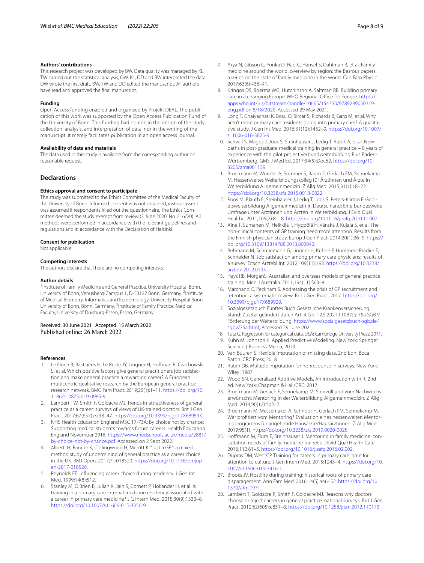#### **Authors' contributions**

This research project was developed by BW. Data quality was managed by KL. TW carried out the statistical analysis, DW, KL, DD and BW interpreted the data. DW wrote the frst draft, BW, TW and DD edited the manuscript. All authors have read and approved the fnal manuscript.

#### **Funding**

Open Access funding enabled and organized by Projekt DEAL. The publication of this work was supported by the Open Access Publication Fund of the University of Bonn. This funding had no role in the design of the study, collection, analysis, and interpretation of data, nor in the writing of the manuscript; it merely facilitates publication in an open access journal.

#### **Availability of data and materials**

The data used in this study is available from the corresponding author on reasonable request.

### **Declarations**

#### **Ethics approval and consent to participate**

The study was submitted to the Ethics Committee of the Medical Faculty of the University of Bonn. Informed consent was not obtained, instead assent was assumed if respondents flled out the questionnaire. The Ethics Committee deemed the study exempt from review (3 June 2020, No. 216/20). All methods were performed in accordance with the relevant guidelines and regulations and in accordance with the Declaration of Helsinki.

#### **Consent for publication**

Not applicable.

#### **Competing interests**

The authors declare that there are no competing interests.

#### **Author details**

<sup>1</sup> Institute of Family Medicine and General Practice, University Hospital Bonn, University of Bonn, Venusberg-Campus 1, D-53127 Bonn, Germany. <sup>2</sup>Institute of Medical Biometry, Informatics and Epidemiology, University Hospital Bonn, University of Bonn, Bonn, Germany. <sup>3</sup>Institute of Family Practice, Medical Faculty, University of Duisburg-Essen, Essen, Germany.

## Received: 30 June 2021 Accepted: 15 March 2022 Published online: 26 March 2022

#### **References**

- <span id="page-7-0"></span>1. Le Floch B, Bastiaens H, Le Reste JY, Lingner H, Hoffman R, Czachowski S, et al. Which positive factors give general practitioners job satisfaction and make general practice a rewarding career? A European multicentric qualitative research by the European general practice research network. BMC Fam Pract. 2019;20(1):1–11. [https://doi.org/10.](https://doi.org/10.1186/s12875-019-0985-9) [1186/s12875-019-0985-9](https://doi.org/10.1186/s12875-019-0985-9).
- <span id="page-7-1"></span>2. Lambert TW, Smith F, Goldacre MJ. Trends in attractiveness of general practice as a career: surveys of views of UK-trained doctors. Brit J Gen Pract. 2017;67(657):e238–47. [https://doi.org/10.3399/bjgp17X689893.](https://doi.org/10.3399/bjgp17X689893)
- <span id="page-7-2"></span>3. NHS Health Education England MSC 17-73A: By choice not by chance: Supporting medical students towards future careers. Health Education England November 2916. [https://www.medschools.ac.uk/media/2881/](https://www.medschools.ac.uk/media/2881/by-choice-not-by-chance.pdf) [by-choice-not-by-chance.pdf.](https://www.medschools.ac.uk/media/2881/by-choice-not-by-chance.pdf) Accessed on 2 Sept 2022.
- <span id="page-7-3"></span>4. Alberti H, Banner K, Collingwood H, Merritt K. "Just a GP": a mixed method study of undermining of general practice as a career choice in the UK. BMJ Open. 2017;7:e018520. [https://doi.org/10.1136/bmjop](https://doi.org/10.1136/bmjopen-2017-018520) [en-2017-018520.](https://doi.org/10.1136/bmjopen-2017-018520)
- <span id="page-7-4"></span>5. Reynolds EE. Infuencing career choice during residency. J Gen Int Med. 1999;14(8):512.
- <span id="page-7-5"></span>6. Stanley M, O'Brien B, Julian K, Jain S, Cornett P, Hollander H, et al. Is training in a primary care internal medicine residency associated with a career in primary care medicine? J G Intern Med. 2015;30(9):1333–8. [https://doi.org/10.1007/s11606-015-3356-9.](https://doi.org/10.1007/s11606-015-3356-9)
- <span id="page-7-6"></span>7. Arya N, Gibson C, Ponka D, Haq C, Hansel S, Dahlman B, et al. Family medicine around the world: overview by region: the Besrour papers: a series on the state of family medicine in the world. Can Fam Physic. 2017;63(6):436–41.
- <span id="page-7-7"></span>8. Kringos DS, Boerma WG, Hutchinson A, Saltman RB. Building primary care in a changing Europe. WHO Regional Office for Europe. [https://](https://apps.who.int/iris/bitstream/handle/10665/154350/9789289050319-eng.pdf%20on%208/18/2020) [apps.who.int/iris/bitstream/handle/10665/154350/9789289050319](https://apps.who.int/iris/bitstream/handle/10665/154350/9789289050319-eng.pdf%20on%208/18/2020) [eng.pdf on 8/18/2020](https://apps.who.int/iris/bitstream/handle/10665/154350/9789289050319-eng.pdf%20on%208/18/2020). Accessed 29 May 2021.
- <span id="page-7-8"></span>Long T, Chaiyachati K, Bosu O, Sircar S, Richards B, Garg M, et al. Why aren't more primary care residents going into primary care? A qualitative study. J Gen Int Med. 2016;31(12):1452–9. [https://doi.org/10.1007/](https://doi.org/10.1007/s11606-016-3825-9) [s11606-016-3825-9.](https://doi.org/10.1007/s11606-016-3825-9)
- <span id="page-7-9"></span>10. Schwill S, Magez J, Joos S, Steinhäuser J, Ledig T, Rubik A, et al. New paths in post-graduate medical training in general practice – 8 years of experience with the pilot project Verbundweiterbildung Plus Baden-Württemberg. GMS J Med Ed. 2017;34(5):Doc62. [https://doi.org/10.](https://doi.org/10.3205/zma001139) [3205/zma001139.](https://doi.org/10.3205/zma001139)
- 11. Broermann M, Wunder A, Sommer S, Baum E, Gerlach FM, Sennekamp M. Hessenweites Weiterbildungskolleg für Ärztinnen und Ärzte in Weiterbildung Allgemeinmedizin. Z Allg Med. 2015;91(1):18–22. <https://doi.org/10.3238/zfa.2015.0018-0022>.
- <span id="page-7-10"></span>12. Roos M, Blauth E, Steinhäuser J, Ledig T, Joos S, Peters-Klimm F. Gebietsweiterbildung Allgemeinmedizin in Deutschland: Eine bundesweite Umfrage unter Ärztinnen und Ärzten in Weiterbildung. J Evid Qual Healthc. 2011;105(2):81–8. <https://doi.org/10.1016/j.zefq.2010.11.007>.
- <span id="page-7-11"></span>13. Aine T, Sumanen M, Heikkilä T, Hyppölä H, Vänskä J, Kujala S, et al. The non-clinical contents of GP training need more attention. Results from the Finnish physician study. Europ J Gen Pract. 2014;20(1):36–9. [https://](https://doi.org/10.3109/13814788.2013.800042) [doi.org/10.3109/13814788.2013.800042.](https://doi.org/10.3109/13814788.2013.800042)
- <span id="page-7-12"></span>14. Behmann M, Schmiemann G, Lingner H, Kühne F, Hummers-Pradier E, Schneider N. Job satisfaction among primary care physicians: results of a survey. Dtsch Arztebl Int. 2012;109(11):193. [https://doi.org/10.3238/](https://doi.org/10.3238/arztebl.2012.0193) [arztebl.2012.0193.](https://doi.org/10.3238/arztebl.2012.0193)
- <span id="page-7-13"></span>15. Hays RB, MorganS. Australian and overseas models of general practice training. Med J Australia. 2011;194(11):S63–4.
- <span id="page-7-14"></span>16. Marchand C, Peckham S. Addressing the crisis of GP recruitment and retention: a systematic review. Brit J Gen Pract. 2017. [https://doi.org/](https://doi.org/10.3399/bjgp17X689929) [10.3399/bjgp17X689929](https://doi.org/10.3399/bjgp17X689929).
- <span id="page-7-15"></span>17. Sozialgesetzbuch Fünftes Buch Gesetzliche Krankenversicherung. Stand: Zuletzt geändert durch Art. 4 G v. 12.5.2021 I 1087; § 75a SGB V Förderung der Weiterbildung. [https://www.sozialgesetzbuch-sgb.de/](https://www.sozialgesetzbuch-sgb.de/sgbv/75a.html) [sgbv/75a.html](https://www.sozialgesetzbuch-sgb.de/sgbv/75a.html); Accessed 29 June 2021.
- <span id="page-7-16"></span>18. Tutz G. Regression for categorical data. USA: Cambridge University Press; 2011.
- <span id="page-7-17"></span>19. Kuhn M, Johnson K. Applied Predictive Modeling. New York: Springer Science+Business Media; 2013.
- <span id="page-7-18"></span>20. Van Buuren S. Flexible imputation of missing data. 2nd Edn. Boca Raton: CRC Press; 2018.
- <span id="page-7-19"></span>21. Rubin DB. Multiple imputation for nonresponse in surveys. New York: Wiley; 1987.
- <span id="page-7-20"></span>22. Wood SN. Generalized Additive Models, An Introduction with R. 2nd ed. New York: Chapman & Hall/CRC; 2017.
- <span id="page-7-21"></span>23. Broermann M, Gerlach F, Sennekamp M. Sinnvoll und vom Nachwuchs erwünscht: Mentoring in der Weiterbildung Allgemeinmedizin. Z Allg Med. 2014;90(12):502–7.
- <span id="page-7-22"></span>24. Broermann M, Messemaker A, Schnoor H, Gerlach FM, Sennekamp M. Wer proftiert vom Mentoring? Evaluation eines hessenweiten Mentoringprogramms für angehende Hausärzte/Hausärztinnen. Z Allg Med. 2019;95(1). <https://doi.org/10.3238/zfa.2019.0020-0025>.
- <span id="page-7-23"></span>25. Hofmann M, Flum E, Steinhäuser J. Mentoring in family medicine: consultation needs of family medicine trainees. J Evid Qual Health Care. 2016;112:61–5. [https://doi.org/10.1016/j.zefq.2016.02.002.](https://doi.org/10.1016/j.zefq.2016.02.002)
- <span id="page-7-24"></span>26. Dupras DM, West CP. Training for careers in primary care: time for attention to culture. J Gen Intern Med. 2015:1243–4. [https://doi.org/10.](https://doi.org/10.1007/s11606-015-3416-1) [1007/s11606-015-3416-1](https://doi.org/10.1007/s11606-015-3416-1).
- <span id="page-7-25"></span>27. Brooks JV. Hostility during training: historical roots of primary care disparagement. Ann Fam Med. 2016;14(5):446–52. [https://doi.org/10.](https://doi.org/10.1370/afm.1971) [1370/afm.1971.](https://doi.org/10.1370/afm.1971)
- <span id="page-7-26"></span>28. Lambert T, Goldacre R, Smith F, Goldacre MJ. Reasons why doctors choose or reject careers in general practice: national surveys. Brit J Gen Pract. 2012;62(605):e851–8. <https://doi.org/10.1258/jrsm.2012.110173>.